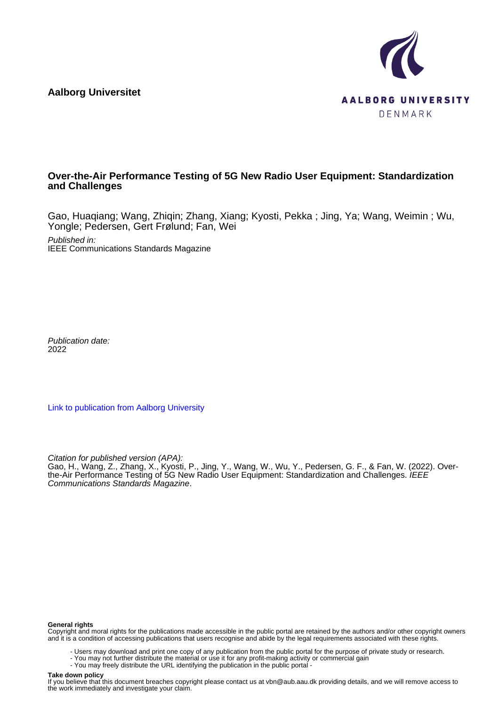**Aalborg Universitet**



# **Over-the-Air Performance Testing of 5G New Radio User Equipment: Standardization and Challenges**

Gao, Huaqiang; Wang, Zhiqin; Zhang, Xiang; Kyosti, Pekka ; Jing, Ya; Wang, Weimin ; Wu, Yongle; Pedersen, Gert Frølund; Fan, Wei

Published in: IEEE Communications Standards Magazine

Publication date: 2022

[Link to publication from Aalborg University](https://vbn.aau.dk/en/publications/e195de67-946b-43e7-854e-c99c45470422)

Citation for published version (APA):

Gao, H., Wang, Z., Zhang, X., Kyosti, P., Jing, Y., Wang, W., Wu, Y., Pedersen, G. F., & Fan, W. (2022). Overthe-Air Performance Testing of 5G New Radio User Equipment: Standardization and Challenges. *IEEE* Communications Standards Magazine.

#### **General rights**

Copyright and moral rights for the publications made accessible in the public portal are retained by the authors and/or other copyright owners and it is a condition of accessing publications that users recognise and abide by the legal requirements associated with these rights.

- Users may download and print one copy of any publication from the public portal for the purpose of private study or research.

- You may not further distribute the material or use it for any profit-making activity or commercial gain
- You may freely distribute the URL identifying the publication in the public portal -

#### **Take down policy**

If you believe that this document breaches copyright please contact us at vbn@aub.aau.dk providing details, and we will remove access to the work immediately and investigate your claim.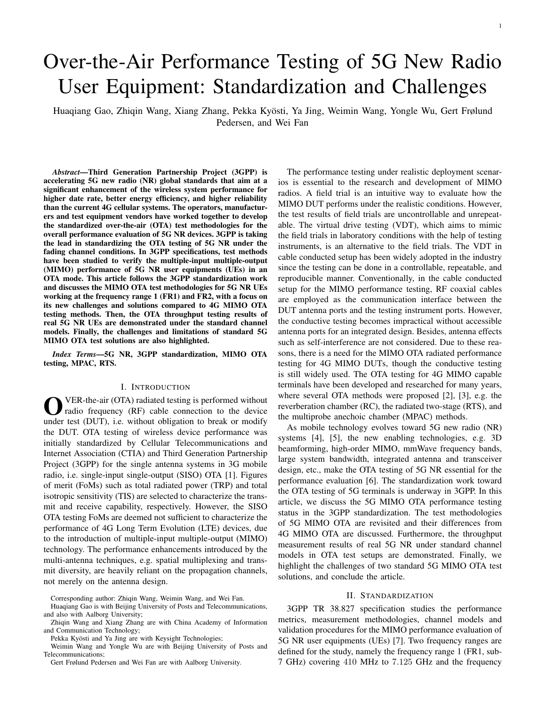# Over-the-Air Performance Testing of 5G New Radio User Equipment: Standardization and Challenges

Huaqiang Gao, Zhiqin Wang, Xiang Zhang, Pekka Kyosti, Ya Jing, Weimin Wang, Yongle Wu, Gert Frølund ¨ Pedersen, and Wei Fan

*Abstract*—Third Generation Partnership Project (3GPP) is accelerating 5G new radio (NR) global standards that aim at a significant enhancement of the wireless system performance for higher date rate, better energy efficiency, and higher reliability than the current 4G cellular systems. The operators, manufacturers and test equipment vendors have worked together to develop the standardized over-the-air (OTA) test methodologies for the overall performance evaluation of 5G NR devices. 3GPP is taking the lead in standardizing the OTA testing of 5G NR under the fading channel conditions. In 3GPP specifications, test methods have been studied to verify the multiple-input multiple-output (MIMO) performance of 5G NR user equipments (UEs) in an OTA mode. This article follows the 3GPP standardization work and discusses the MIMO OTA test methodologies for 5G NR UEs working at the frequency range 1 (FR1) and FR2, with a focus on its new challenges and solutions compared to 4G MIMO OTA testing methods. Then, the OTA throughput testing results of real 5G NR UEs are demonstrated under the standard channel models. Finally, the challenges and limitations of standard 5G MIMO OTA test solutions are also highlighted.

*Index Terms*—5G NR, 3GPP standardization, MIMO OTA testing, MPAC, RTS.

### I. INTRODUCTION

**O** VER-the-air (OTA) radiated testing is performed without radio frequency (RF) cable connection to the device under test (DUT), i.e. without obligation to break or modify VER-the-air (OTA) radiated testing is performed without radio frequency (RF) cable connection to the device the DUT. OTA testing of wireless device performance was initially standardized by Cellular Telecommunications and Internet Association (CTIA) and Third Generation Partnership Project (3GPP) for the single antenna systems in 3G mobile radio, i.e. single-input single-output (SISO) OTA [1]. Figures of merit (FoMs) such as total radiated power (TRP) and total isotropic sensitivity (TIS) are selected to characterize the transmit and receive capability, respectively. However, the SISO OTA testing FoMs are deemed not sufficient to characterize the performance of 4G Long Term Evolution (LTE) devices, due to the introduction of multiple-input multiple-output (MIMO) technology. The performance enhancements introduced by the multi-antenna techniques, e.g. spatial multiplexing and transmit diversity, are heavily reliant on the propagation channels, not merely on the antenna design.

Gert Frølund Pedersen and Wei Fan are with Aalborg University.

The performance testing under realistic deployment scenarios is essential to the research and development of MIMO radios. A field trial is an intuitive way to evaluate how the MIMO DUT performs under the realistic conditions. However, the test results of field trials are uncontrollable and unrepeatable. The virtual drive testing (VDT), which aims to mimic the field trials in laboratory conditions with the help of testing instruments, is an alternative to the field trials. The VDT in cable conducted setup has been widely adopted in the industry since the testing can be done in a controllable, repeatable, and reproducible manner. Conventionally, in the cable conducted setup for the MIMO performance testing, RF coaxial cables are employed as the communication interface between the DUT antenna ports and the testing instrument ports. However, the conductive testing becomes impractical without accessible antenna ports for an integrated design. Besides, antenna effects such as self-interference are not considered. Due to these reasons, there is a need for the MIMO OTA radiated performance testing for 4G MIMO DUTs, though the conductive testing is still widely used. The OTA testing for 4G MIMO capable terminals have been developed and researched for many years, where several OTA methods were proposed [2], [3], e.g. the reverberation chamber (RC), the radiated two-stage (RTS), and the multiprobe anechoic chamber (MPAC) methods.

As mobile technology evolves toward 5G new radio (NR) systems [4], [5], the new enabling technologies, e.g. 3D beamforming, high-order MIMO, mmWave frequency bands, large system bandwidth, integrated antenna and transceiver design, etc., make the OTA testing of 5G NR essential for the performance evaluation [6]. The standardization work toward the OTA testing of 5G terminals is underway in 3GPP. In this article, we discuss the 5G MIMO OTA performance testing status in the 3GPP standardization. The test methodologies of 5G MIMO OTA are revisited and their differences from 4G MIMO OTA are discussed. Furthermore, the throughput measurement results of real 5G NR under standard channel models in OTA test setups are demonstrated. Finally, we highlight the challenges of two standard 5G MIMO OTA test solutions, and conclude the article.

# II. STANDARDIZATION

3GPP TR 38.827 specification studies the performance metrics, measurement methodologies, channel models and validation procedures for the MIMO performance evaluation of 5G NR user equipments (UEs) [7]. Two frequency ranges are defined for the study, namely the frequency range 1 (FR1, sub-7 GHz) covering 410 MHz to 7.125 GHz and the frequency

Corresponding author: Zhiqin Wang, Weimin Wang, and Wei Fan.

Huaqiang Gao is with Beijing University of Posts and Telecommunications, and also with Aalborg University;

Zhiqin Wang and Xiang Zhang are with China Academy of Information and Communication Technology;

Pekka Kyösti and Ya Jing are with Keysight Technologies;

Weimin Wang and Yongle Wu are with Beijing University of Posts and Telecommunications;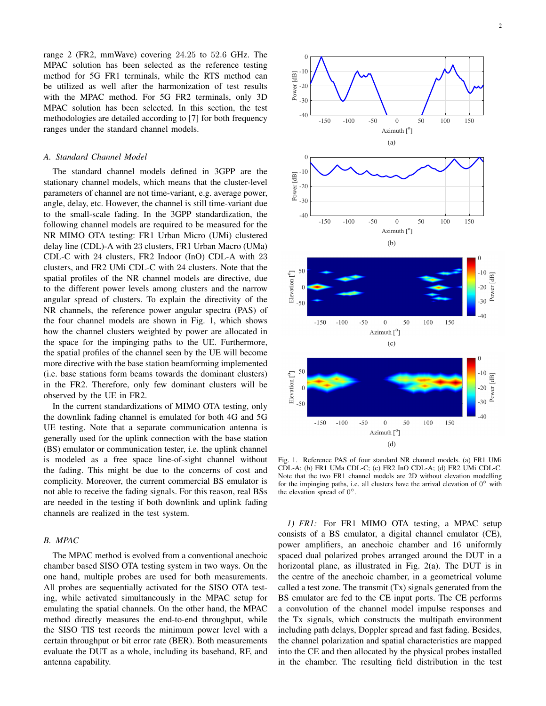range 2 (FR2, mmWave) covering 24.25 to 52.6 GHz. The MPAC solution has been selected as the reference testing method for 5G FR1 terminals, while the RTS method can be utilized as well after the harmonization of test results with the MPAC method. For 5G FR2 terminals, only 3D MPAC solution has been selected. In this section, the test methodologies are detailed according to [7] for both frequency ranges under the standard channel models.

# *A. Standard Channel Model*

The standard channel models defined in 3GPP are the stationary channel models, which means that the cluster-level parameters of channel are not time-variant, e.g. average power, angle, delay, etc. However, the channel is still time-variant due to the small-scale fading. In the 3GPP standardization, the following channel models are required to be measured for the NR MIMO OTA testing: FR1 Urban Micro (UMi) clustered delay line (CDL)-A with 23 clusters, FR1 Urban Macro (UMa) CDL-C with 24 clusters, FR2 Indoor (InO) CDL-A with 23 clusters, and FR2 UMi CDL-C with 24 clusters. Note that the spatial profiles of the NR channel models are directive, due to the different power levels among clusters and the narrow angular spread of clusters. To explain the directivity of the NR channels, the reference power angular spectra (PAS) of the four channel models are shown in Fig. 1, which shows how the channel clusters weighted by power are allocated in the space for the impinging paths to the UE. Furthermore, the spatial profiles of the channel seen by the UE will become more directive with the base station beamforming implemented (i.e. base stations form beams towards the dominant clusters) in the FR2. Therefore, only few dominant clusters will be observed by the UE in FR2.

In the current standardizations of MIMO OTA testing, only the downlink fading channel is emulated for both 4G and 5G UE testing. Note that a separate communication antenna is generally used for the uplink connection with the base station (BS) emulator or communication tester, i.e. the uplink channel is modeled as a free space line-of-sight channel without the fading. This might be due to the concerns of cost and complicity. Moreover, the current commercial BS emulator is not able to receive the fading signals. For this reason, real BSs are needed in the testing if both downlink and uplink fading channels are realized in the test system.

### *B. MPAC*

The MPAC method is evolved from a conventional anechoic chamber based SISO OTA testing system in two ways. On the one hand, multiple probes are used for both measurements. All probes are sequentially activated for the SISO OTA testing, while activated simultaneously in the MPAC setup for emulating the spatial channels. On the other hand, the MPAC method directly measures the end-to-end throughput, while the SISO TIS test records the minimum power level with a certain throughput or bit error rate (BER). Both measurements evaluate the DUT as a whole, including its baseband, RF, and antenna capability.



Fig. 1. Reference PAS of four standard NR channel models. (a) FR1 UMi CDL-A; (b) FR1 UMa CDL-C; (c) FR2 InO CDL-A; (d) FR2 UMi CDL-C. Note that the two FR1 channel models are 2D without elevation modelling for the impinging paths, i.e. all clusters have the arrival elevation of  $0^{\circ}$  with the elevation spread of  $0^{\circ}$ .

*1) FR1:* For FR1 MIMO OTA testing, a MPAC setup consists of a BS emulator, a digital channel emulator (CE), power amplifiers, an anechoic chamber and 16 uniformly spaced dual polarized probes arranged around the DUT in a horizontal plane, as illustrated in Fig. 2(a). The DUT is in the centre of the anechoic chamber, in a geometrical volume called a test zone. The transmit (Tx) signals generated from the BS emulator are fed to the CE input ports. The CE performs a convolution of the channel model impulse responses and the Tx signals, which constructs the multipath environment including path delays, Doppler spread and fast fading. Besides, the channel polarization and spatial characteristics are mapped into the CE and then allocated by the physical probes installed in the chamber. The resulting field distribution in the test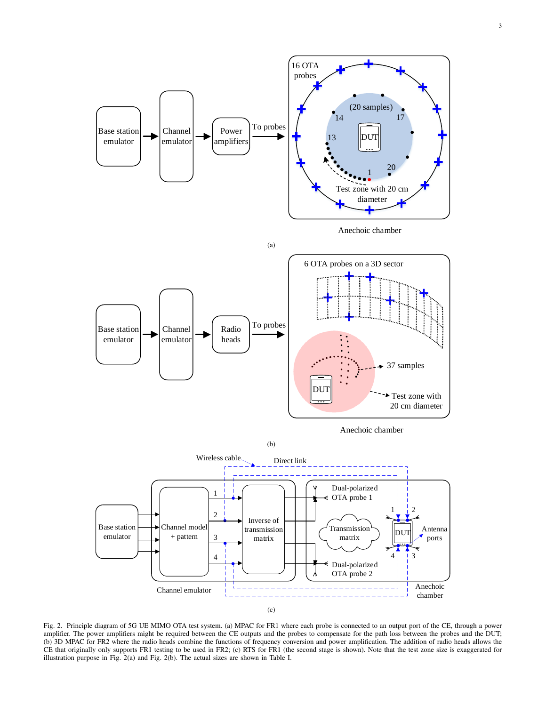

(b) 3D MPAC for FR2 where the radio heads combine the functions of frequency conversion and power amplification. The addition of radio heads allows the (b) 3D INTRU FOUT RE where the radio heads combine the ranchoils of requency conversion and power ampimeation. The addition of radio heads anows the<br>Ell instruction nurmors FR1 testing to be used in FR2; (c) RTS for FR1 ( amplifier. The power amplifiers might be required between the CE outputs and the probes to compensate for the path loss between the probes and the DUT; The unation purpose in Fig. 2(a) and Fig. 2(b). The actual sizes are shown in Table I. Fig. 2. Principle diagram of 5G UE MIMO OTA test system. (a) MPAC for FR1 where each probe is connected to an output port of the CE, through a power component in the set of the set of the set of the set of the set of the set of the set of the set of the set of the set of the set of the set of the set of the set of the set of the set of the set of the set of the set of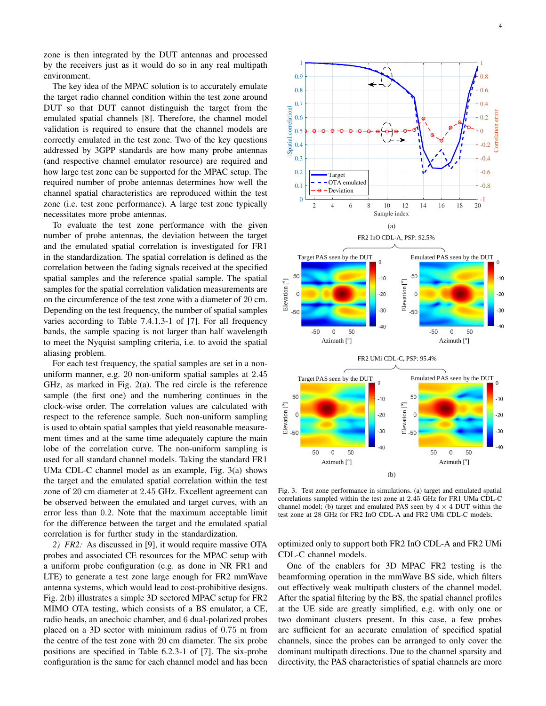zone is then integrated by the DUT antennas and processed by the receivers just as it would do so in any real multipath environment.

The key idea of the MPAC solution is to accurately emulate the target radio channel condition within the test zone around DUT so that DUT cannot distinguish the target from the emulated spatial channels [8]. Therefore, the channel model validation is required to ensure that the channel models are correctly emulated in the test zone. Two of the key questions addressed by 3GPP standards are how many probe antennas (and respective channel emulator resource) are required and how large test zone can be supported for the MPAC setup. The required number of probe antennas determines how well the channel spatial characteristics are reproduced within the test zone (i.e. test zone performance). A large test zone typically necessitates more probe antennas.

To evaluate the test zone performance with the given number of probe antennas, the deviation between the target and the emulated spatial correlation is investigated for FR1 in the standardization. The spatial correlation is defined as the correlation between the fading signals received at the specified spatial samples and the reference spatial sample. The spatial samples for the spatial correlation validation measurements are on the circumference of the test zone with a diameter of 20 cm. Depending on the test frequency, the number of spatial samples varies according to Table 7.4.1.3-1 of [7]. For all frequency bands, the sample spacing is not larger than half wavelength to meet the Nyquist sampling criteria, i.e. to avoid the spatial aliasing problem.

For each test frequency, the spatial samples are set in a nonuniform manner, e.g. 20 non-uniform spatial samples at 2.45 GHz, as marked in Fig. 2(a). The red circle is the reference sample (the first one) and the numbering continues in the clock-wise order. The correlation values are calculated with respect to the reference sample. Such non-uniform sampling is used to obtain spatial samples that yield reasonable measurement times and at the same time adequately capture the main lobe of the correlation curve. The non-uniform sampling is used for all standard channel models. Taking the standard FR1 UMa CDL-C channel model as an example, Fig. 3(a) shows the target and the emulated spatial correlation within the test zone of 20 cm diameter at 2.45 GHz. Excellent agreement can be observed between the emulated and target curves, with an error less than 0.2. Note that the maximum acceptable limit for the difference between the target and the emulated spatial correlation is for further study in the standardization.

*2) FR2:* As discussed in [9], it would require massive OTA probes and associated CE resources for the MPAC setup with a uniform probe configuration (e.g. as done in NR FR1 and LTE) to generate a test zone large enough for FR2 mmWave antenna systems, which would lead to cost-prohibitive designs. Fig. 2(b) illustrates a simple 3D sectored MPAC setup for FR2 MIMO OTA testing, which consists of a BS emulator, a CE, radio heads, an anechoic chamber, and 6 dual-polarized probes placed on a 3D sector with minimum radius of 0.75 m from the centre of the test zone with 20 cm diameter. The six probe positions are specified in Table 6.2.3-1 of [7]. The six-probe configuration is the same for each channel model and has been



Fig. 3. Test zone performance in simulations. (a) target and emulated spatial correlations sampled within the test zone at 2.45 GHz for FR1 UMa CDL-C channel model; (b) target and emulated PAS seen by  $4 \times 4$  DUT within the test zone at 28 GHz for FR2 InO CDL-A and FR2 UMi CDL-C models.

optimized only to support both FR2 InO CDL-A and FR2 UMi CDL-C channel models.

One of the enablers for 3D MPAC FR2 testing is the beamforming operation in the mmWave BS side, which filters out effectively weak multipath clusters of the channel model. After the spatial filtering by the BS, the spatial channel profiles at the UE side are greatly simplified, e.g. with only one or two dominant clusters present. In this case, a few probes are sufficient for an accurate emulation of specified spatial channels, since the probes can be arranged to only cover the dominant multipath directions. Due to the channel sparsity and directivity, the PAS characteristics of spatial channels are more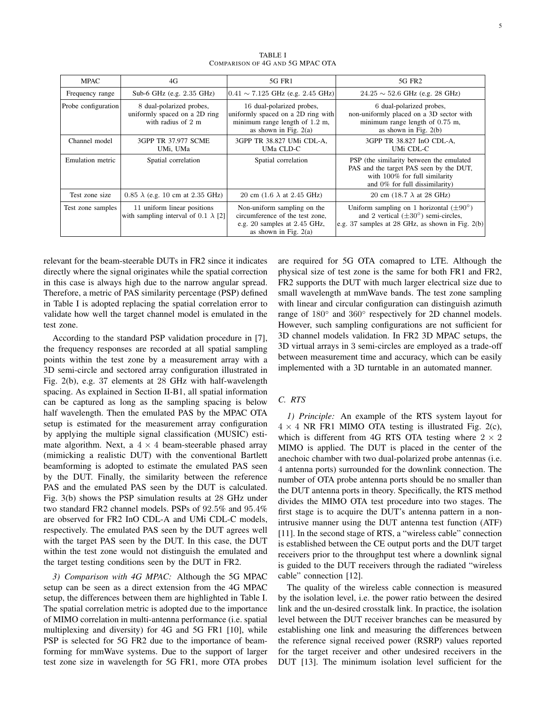| <b>MPAC</b>         | 4G                                                                                        | 5G FR1                                                                                                                       | 5G FR <sub>2</sub>                                                                                                                                           |
|---------------------|-------------------------------------------------------------------------------------------|------------------------------------------------------------------------------------------------------------------------------|--------------------------------------------------------------------------------------------------------------------------------------------------------------|
| Frequency range     | Sub-6 GHz (e.g. $2.35$ GHz)                                                               | $ 0.41 \sim 7.125$ GHz (e.g. 2.45 GHz)                                                                                       | $24.25 \sim 52.6$ GHz (e.g. 28 GHz)                                                                                                                          |
| Probe configuration | 8 dual-polarized probes,<br>uniformly spaced on a 2D ring<br>with radius of $2 \text{ m}$ | 16 dual-polarized probes,<br>uniformly spaced on a 2D ring with<br>minimum range length of 1.2 m,<br>as shown in Fig. $2(a)$ | 6 dual-polarized probes,<br>non-uniformly placed on a 3D sector with<br>minimum range length of 0.75 m,<br>as shown in Fig. $2(b)$                           |
| Channel model       | 3GPP TR 37.977 SCME<br>UMi, UMa                                                           | 3GPP TR 38.827 UMi CDL-A,<br>UMa CLD-C                                                                                       | 3GPP TR 38.827 InO CDL-A.<br>UMi CDL-C                                                                                                                       |
| Emulation metric    | Spatial correlation                                                                       | Spatial correlation                                                                                                          | PSP (the similarity between the emulated<br>PAS and the target PAS seen by the DUT,<br>with 100% for full similarity<br>and 0% for full dissimilarity)       |
| Test zone size      | $0.85 \lambda$ (e.g. 10 cm at 2.35 GHz)                                                   | 20 cm $(1.6 \lambda$ at 2.45 GHz)                                                                                            | 20 cm $(18.7 \lambda \text{ at } 28 \text{ GHz})$                                                                                                            |
| Test zone samples   | 11 uniform linear positions<br>with sampling interval of 0.1 $\lambda$ [2]                | Non-uniform sampling on the<br>circumference of the test zone,<br>e.g. 20 samples at 2.45 GHz,<br>as shown in Fig. $2(a)$    | Uniform sampling on 1 horizontal $(\pm 90^{\circ})$<br>and 2 vertical $(\pm 30^{\circ})$ semi-circles,<br>e.g. 37 samples at 28 GHz, as shown in Fig. $2(b)$ |

TABLE I COMPARISON OF 4G AND 5G MPAC OTA

relevant for the beam-steerable DUTs in FR2 since it indicates directly where the signal originates while the spatial correction in this case is always high due to the narrow angular spread. Therefore, a metric of PAS similarity percentage (PSP) defined in Table I is adopted replacing the spatial correlation error to validate how well the target channel model is emulated in the test zone.

According to the standard PSP validation procedure in [7], the frequency responses are recorded at all spatial sampling points within the test zone by a measurement array with a 3D semi-circle and sectored array configuration illustrated in Fig. 2(b), e.g. 37 elements at 28 GHz with half-wavelength spacing. As explained in Section II-B1, all spatial information can be captured as long as the sampling spacing is below half wavelength. Then the emulated PAS by the MPAC OTA setup is estimated for the measurement array configuration by applying the multiple signal classification (MUSIC) estimate algorithm. Next, a  $4 \times 4$  beam-steerable phased array (mimicking a realistic DUT) with the conventional Bartlett beamforming is adopted to estimate the emulated PAS seen by the DUT. Finally, the similarity between the reference PAS and the emulated PAS seen by the DUT is calculated. Fig. 3(b) shows the PSP simulation results at 28 GHz under two standard FR2 channel models. PSPs of 92.5% and 95.4% are observed for FR2 InO CDL-A and UMi CDL-C models, respectively. The emulated PAS seen by the DUT agrees well with the target PAS seen by the DUT. In this case, the DUT within the test zone would not distinguish the emulated and the target testing conditions seen by the DUT in FR2.

*3) Comparison with 4G MPAC:* Although the 5G MPAC setup can be seen as a direct extension from the 4G MPAC setup, the differences between them are highlighted in Table I. The spatial correlation metric is adopted due to the importance of MIMO correlation in multi-antenna performance (i.e. spatial multiplexing and diversity) for 4G and 5G FR1 [10], while PSP is selected for 5G FR2 due to the importance of beamforming for mmWave systems. Due to the support of larger test zone size in wavelength for 5G FR1, more OTA probes are required for 5G OTA comapred to LTE. Although the physical size of test zone is the same for both FR1 and FR2, FR2 supports the DUT with much larger electrical size due to small wavelength at mmWave bands. The test zone sampling with linear and circular configuration can distinguish azimuth range of  $180^\circ$  and  $360^\circ$  respectively for 2D channel models. However, such sampling configurations are not sufficient for 3D channel models validation. In FR2 3D MPAC setups, the 3D virtual arrays in 3 semi-circles are employed as a trade-off between measurement time and accuracy, which can be easily implemented with a 3D turntable in an automated manner.

# *C. RTS*

*1) Principle:* An example of the RTS system layout for  $4 \times 4$  NR FR1 MIMO OTA testing is illustrated Fig. 2(c), which is different from 4G RTS OTA testing where  $2 \times 2$ MIMO is applied. The DUT is placed in the center of the anechoic chamber with two dual-polarized probe antennas (i.e. 4 antenna ports) surrounded for the downlink connection. The number of OTA probe antenna ports should be no smaller than the DUT antenna ports in theory. Specifically, the RTS method divides the MIMO OTA test procedure into two stages. The first stage is to acquire the DUT's antenna pattern in a nonintrusive manner using the DUT antenna test function (ATF) [11]. In the second stage of RTS, a "wireless cable" connection is established between the CE output ports and the DUT target receivers prior to the throughput test where a downlink signal is guided to the DUT receivers through the radiated "wireless cable" connection [12].

The quality of the wireless cable connection is measured by the isolation level, i.e. the power ratio between the desired link and the un-desired crosstalk link. In practice, the isolation level between the DUT receiver branches can be measured by establishing one link and measuring the differences between the reference signal received power (RSRP) values reported for the target receiver and other undesired receivers in the DUT [13]. The minimum isolation level sufficient for the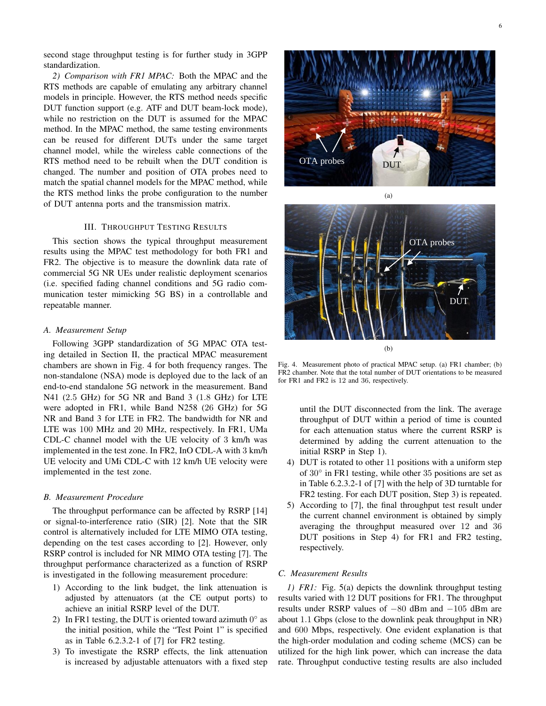second stage throughput testing is for further study in 3GPP standardization.

*2) Comparison with FR1 MPAC:* Both the MPAC and the RTS methods are capable of emulating any arbitrary channel models in principle. However, the RTS method needs specific DUT function support (e.g. ATF and DUT beam-lock mode), while no restriction on the DUT is assumed for the MPAC method. In the MPAC method, the same testing environments can be reused for different DUTs under the same target channel model, while the wireless cable connections of the RTS method need to be rebuilt when the DUT condition is changed. The number and position of OTA probes need to match the spatial channel models for the MPAC method, while the RTS method links the probe configuration to the number of DUT antenna ports and the transmission matrix.

## III. THROUGHPUT TESTING RESULTS

This section shows the typical throughput measurement results using the MPAC test methodology for both FR1 and FR2. The objective is to measure the downlink data rate of commercial 5G NR UEs under realistic deployment scenarios (i.e. specified fading channel conditions and 5G radio communication tester mimicking 5G BS) in a controllable and repeatable manner.

#### *A. Measurement Setup*

Following 3GPP standardization of 5G MPAC OTA testing detailed in Section II, the practical MPAC measurement chambers are shown in Fig. 4 for both frequency ranges. The non-standalone (NSA) mode is deployed due to the lack of an end-to-end standalone 5G network in the measurement. Band N41 (2.5 GHz) for 5G NR and Band 3 (1.8 GHz) for LTE were adopted in FR1, while Band N258 (26 GHz) for 5G NR and Band 3 for LTE in FR2. The bandwidth for NR and LTE was 100 MHz and 20 MHz, respectively. In FR1, UMa CDL-C channel model with the UE velocity of 3 km/h was implemented in the test zone. In FR2, InO CDL-A with 3 km/h UE velocity and UMi CDL-C with 12 km/h UE velocity were implemented in the test zone.

#### *B. Measurement Procedure*

The throughput performance can be affected by RSRP [14] or signal-to-interference ratio (SIR) [2]. Note that the SIR control is alternatively included for LTE MIMO OTA testing, depending on the test cases according to [2]. However, only RSRP control is included for NR MIMO OTA testing [7]. The throughput performance characterized as a function of RSRP is investigated in the following measurement procedure:

- 1) According to the link budget, the link attenuation is adjusted by attenuators (at the CE output ports) to achieve an initial RSRP level of the DUT.
- 2) In FR1 testing, the DUT is oriented toward azimuth  $0^{\circ}$  as the initial position, while the "Test Point 1" is specified as in Table 6.2.3.2-1 of [7] for FR2 testing.
- 3) To investigate the RSRP effects, the link attenuation is increased by adjustable attenuators with a fixed step



**DUT** OTA probes (b)

(a)

Fig. 4. Measurement photo of practical MPAC setup. (a) FR1 chamber; (b) FR2 chamber. Note that the total number of DUT orientations to be measured for FR1 and FR2 is 12 and 36, respectively.

until the DUT disconnected from the link. The average throughput of DUT within a period of time is counted for each attenuation status where the current RSRP is determined by adding the current attenuation to the initial RSRP in Step 1).

- 4) DUT is rotated to other 11 positions with a uniform step of 30° in FR1 testing, while other 35 positions are set as in Table 6.2.3.2-1 of [7] with the help of 3D turntable for FR2 testing. For each DUT position, Step 3) is repeated.
- 5) According to [7], the final throughput test result under the current channel environment is obtained by simply averaging the throughput measured over 12 and 36 DUT positions in Step 4) for FR1 and FR2 testing, respectively.

#### *C. Measurement Results*

*1) FR1:* Fig. 5(a) depicts the downlink throughput testing results varied with 12 DUT positions for FR1. The throughput results under RSRP values of −80 dBm and −105 dBm are about 1.1 Gbps (close to the downlink peak throughput in NR) and 600 Mbps, respectively. One evident explanation is that the high-order modulation and coding scheme (MCS) can be utilized for the high link power, which can increase the data rate. Throughput conductive testing results are also included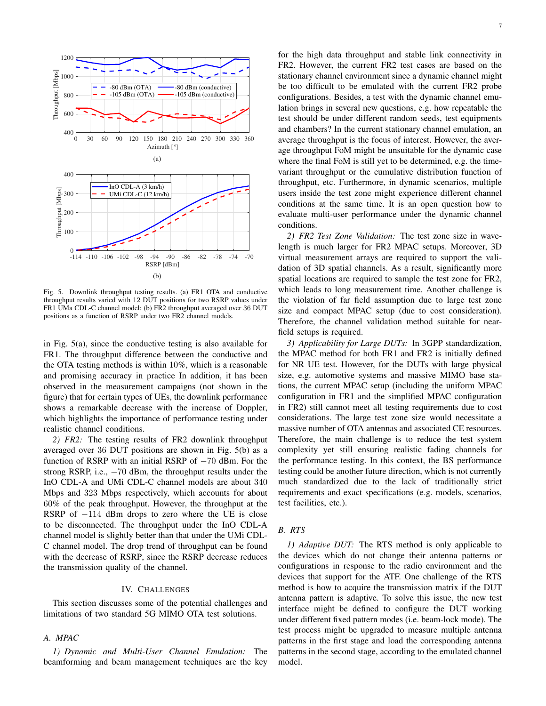

Fig. 5. Downlink throughput testing results. (a) FR1 OTA and conductive throughput results varied with 12 DUT positions for two RSRP values under FR1 UMa CDL-C channel model; (b) FR2 throughput averaged over 36 DUT positions as a function of RSRP under two FR2 channel models.

in Fig. 5(a), since the conductive testing is also available for FR1. The throughput difference between the conductive and the OTA testing methods is within 10%, which is a reasonable and promising accuracy in practice In addition, it has been observed in the measurement campaigns (not shown in the figure) that for certain types of UEs, the downlink performance shows a remarkable decrease with the increase of Doppler, which highlights the importance of performance testing under realistic channel conditions.

*2) FR2:* The testing results of FR2 downlink throughput averaged over 36 DUT positions are shown in Fig. 5(b) as a function of RSRP with an initial RSRP of −70 dBm. For the strong RSRP, i.e.,  $-70$  dBm, the throughput results under the InO CDL-A and UMi CDL-C channel models are about 340 Mbps and 323 Mbps respectively, which accounts for about 60% of the peak throughput. However, the throughput at the RSRP of −114 dBm drops to zero where the UE is close to be disconnected. The throughput under the InO CDL-A channel model is slightly better than that under the UMi CDL-C channel model. The drop trend of throughput can be found with the decrease of RSRP, since the RSRP decrease reduces the transmission quality of the channel.

#### IV. CHALLENGES

This section discusses some of the potential challenges and limitations of two standard 5G MIMO OTA test solutions.

# *A. MPAC*

*1) Dynamic and Multi-User Channel Emulation:* The beamforming and beam management techniques are the key for the high data throughput and stable link connectivity in FR2. However, the current FR2 test cases are based on the stationary channel environment since a dynamic channel might be too difficult to be emulated with the current FR2 probe configurations. Besides, a test with the dynamic channel emulation brings in several new questions, e.g. how repeatable the test should be under different random seeds, test equipments and chambers? In the current stationary channel emulation, an average throughput is the focus of interest. However, the average throughput FoM might be unsuitable for the dynamic case where the final FoM is still yet to be determined, e.g. the timevariant throughput or the cumulative distribution function of throughput, etc. Furthermore, in dynamic scenarios, multiple users inside the test zone might experience different channel conditions at the same time. It is an open question how to evaluate multi-user performance under the dynamic channel conditions.

*2) FR2 Test Zone Validation:* The test zone size in wavelength is much larger for FR2 MPAC setups. Moreover, 3D virtual measurement arrays are required to support the validation of 3D spatial channels. As a result, significantly more spatial locations are required to sample the test zone for FR2, which leads to long measurement time. Another challenge is the violation of far field assumption due to large test zone size and compact MPAC setup (due to cost consideration). Therefore, the channel validation method suitable for nearfield setups is required.

*3) Applicability for Large DUTs:* In 3GPP standardization, the MPAC method for both FR1 and FR2 is initially defined for NR UE test. However, for the DUTs with large physical size, e.g. automotive systems and massive MIMO base stations, the current MPAC setup (including the uniform MPAC configuration in FR1 and the simplified MPAC configuration in FR2) still cannot meet all testing requirements due to cost considerations. The large test zone size would necessitate a massive number of OTA antennas and associated CE resources. Therefore, the main challenge is to reduce the test system complexity yet still ensuring realistic fading channels for the performance testing. In this context, the BS performance testing could be another future direction, which is not currently much standardized due to the lack of traditionally strict requirements and exact specifications (e.g. models, scenarios, test facilities, etc.).

# *B. RTS*

*1) Adaptive DUT:* The RTS method is only applicable to the devices which do not change their antenna patterns or configurations in response to the radio environment and the devices that support for the ATF. One challenge of the RTS method is how to acquire the transmission matrix if the DUT antenna pattern is adaptive. To solve this issue, the new test interface might be defined to configure the DUT working under different fixed pattern modes (i.e. beam-lock mode). The test process might be upgraded to measure multiple antenna patterns in the first stage and load the corresponding antenna patterns in the second stage, according to the emulated channel model.